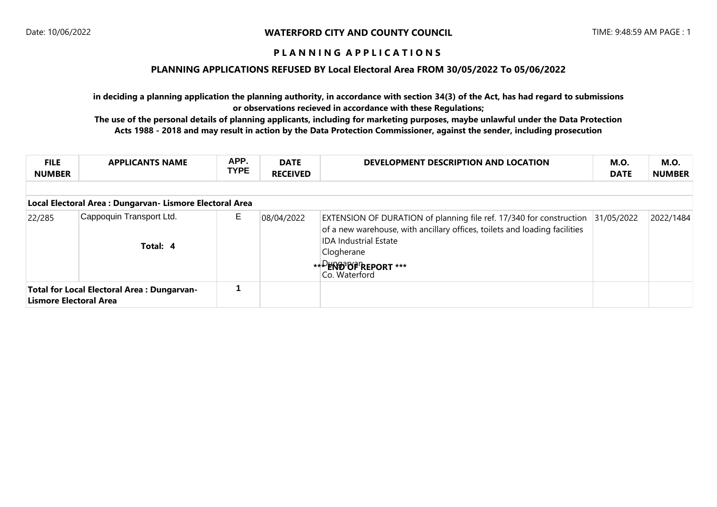### **PLANNING APPLICATIONS REFUSED BY Local Electoral Area FROM 30/05/2022 To 05/06/2022**

**in deciding a planning application the planning authority, in accordance with section 34(3) of the Act, has had regard to submissions or observations recieved in accordance with these Regulations;**

| <b>FILE</b><br><b>NUMBER</b>                                                | <b>APPLICANTS NAME</b>                                   | APP.<br><b>TYPE</b> | <b>DATE</b><br><b>RECEIVED</b> | DEVELOPMENT DESCRIPTION AND LOCATION                                                                                                                                                                                                               | <b>M.O.</b><br><b>DATE</b> | <b>M.O.</b><br><b>NUMBER</b> |
|-----------------------------------------------------------------------------|----------------------------------------------------------|---------------------|--------------------------------|----------------------------------------------------------------------------------------------------------------------------------------------------------------------------------------------------------------------------------------------------|----------------------------|------------------------------|
|                                                                             |                                                          |                     |                                |                                                                                                                                                                                                                                                    |                            |                              |
|                                                                             | Local Electoral Area : Dungarvan- Lismore Electoral Area |                     |                                |                                                                                                                                                                                                                                                    |                            |                              |
| 22/285                                                                      | Cappoquin Transport Ltd.<br>Total: 4                     | Е                   | 08/04/2022                     | EXTENSION OF DURATION of planning file ref. 17/340 for construction 31/05/2022<br>of a new warehouse, with ancillary offices, toilets and loading facilities<br><b>IDA Industrial Estate</b><br>Clogherane<br>***PENDOPPREPORT***<br>Co. Waterford |                            | 2022/1484                    |
| <b>Total for Local Electoral Area: Dungarvan-</b><br>Lismore Electoral Area |                                                          |                     |                                |                                                                                                                                                                                                                                                    |                            |                              |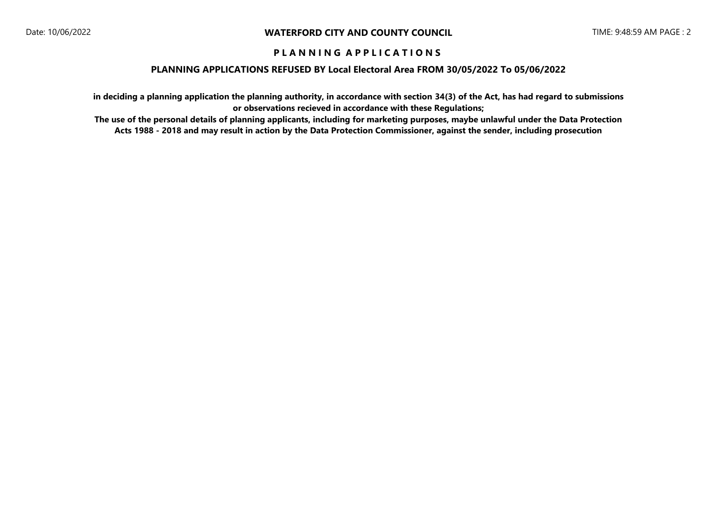### **PLANNING APPLICATIONS REFUSED BY Local Electoral Area FROM 30/05/2022 To 05/06/2022**

**in deciding a planning application the planning authority, in accordance with section 34(3) of the Act, has had regard to submissions or observations recieved in accordance with these Regulations;**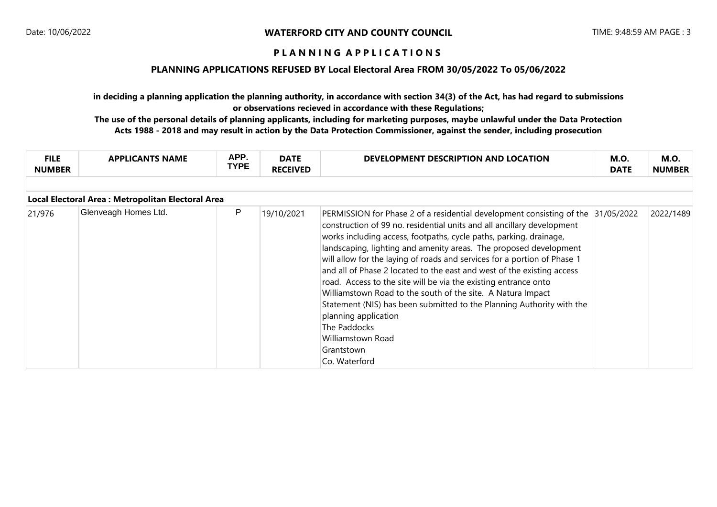### **PLANNING APPLICATIONS REFUSED BY Local Electoral Area FROM 30/05/2022 To 05/06/2022**

**in deciding a planning application the planning authority, in accordance with section 34(3) of the Act, has had regard to submissions or observations recieved in accordance with these Regulations;**

| <b>FILE</b><br><b>NUMBER</b>                       | <b>APPLICANTS NAME</b> | APP.<br><b>TYPE</b> | <b>DATE</b><br><b>RECEIVED</b> | DEVELOPMENT DESCRIPTION AND LOCATION                                                                                                                                                                                                                                                                                                                                                                                                                                                                                                                                                                                                                                                                                                                               | <b>M.O.</b><br><b>DATE</b> | <b>M.O.</b><br><b>NUMBER</b> |  |  |
|----------------------------------------------------|------------------------|---------------------|--------------------------------|--------------------------------------------------------------------------------------------------------------------------------------------------------------------------------------------------------------------------------------------------------------------------------------------------------------------------------------------------------------------------------------------------------------------------------------------------------------------------------------------------------------------------------------------------------------------------------------------------------------------------------------------------------------------------------------------------------------------------------------------------------------------|----------------------------|------------------------------|--|--|
| Local Electoral Area : Metropolitan Electoral Area |                        |                     |                                |                                                                                                                                                                                                                                                                                                                                                                                                                                                                                                                                                                                                                                                                                                                                                                    |                            |                              |  |  |
| 21/976                                             | Glenveagh Homes Ltd.   | P                   | 19/10/2021                     | PERMISSION for Phase 2 of a residential development consisting of the 31/05/2022<br>construction of 99 no. residential units and all ancillary development<br>works including access, footpaths, cycle paths, parking, drainage,<br>landscaping, lighting and amenity areas. The proposed development<br>will allow for the laying of roads and services for a portion of Phase 1<br>and all of Phase 2 located to the east and west of the existing access<br>road. Access to the site will be via the existing entrance onto<br>Williamstown Road to the south of the site. A Natura Impact<br>Statement (NIS) has been submitted to the Planning Authority with the<br>planning application<br>The Paddocks<br>Williamstown Road<br>Grantstown<br>Co. Waterford |                            | 2022/1489                    |  |  |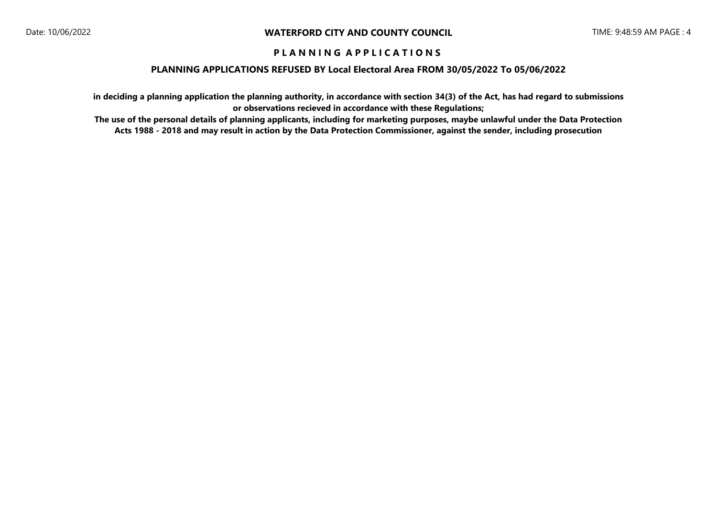### **PLANNING APPLICATIONS REFUSED BY Local Electoral Area FROM 30/05/2022 To 05/06/2022**

**in deciding a planning application the planning authority, in accordance with section 34(3) of the Act, has had regard to submissions or observations recieved in accordance with these Regulations;**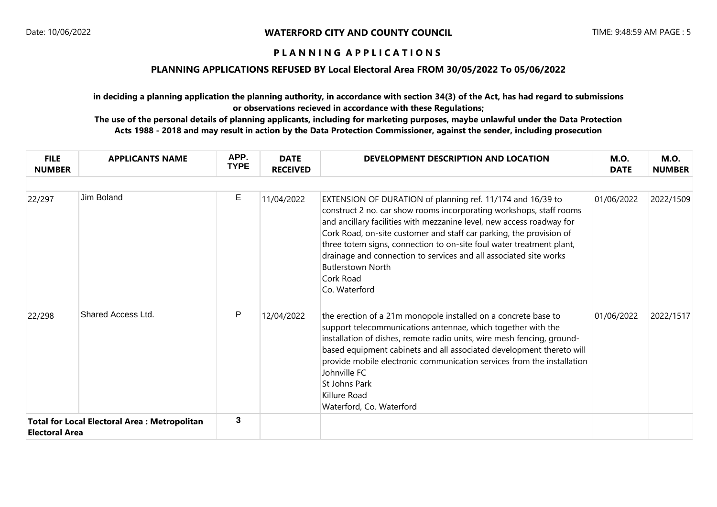### **PLANNING APPLICATIONS REFUSED BY Local Electoral Area FROM 30/05/2022 To 05/06/2022**

**in deciding a planning application the planning authority, in accordance with section 34(3) of the Act, has had regard to submissions or observations recieved in accordance with these Regulations;**

| <b>FILE</b><br><b>NUMBER</b>                                                 | <b>APPLICANTS NAME</b>    | APP.<br><b>TYPE</b> | <b>DATE</b><br><b>RECEIVED</b> | DEVELOPMENT DESCRIPTION AND LOCATION                                                                                                                                                                                                                                                                                                                                                                                                                                                     | <b>M.O.</b><br><b>DATE</b> | <b>M.O.</b><br><b>NUMBER</b> |
|------------------------------------------------------------------------------|---------------------------|---------------------|--------------------------------|------------------------------------------------------------------------------------------------------------------------------------------------------------------------------------------------------------------------------------------------------------------------------------------------------------------------------------------------------------------------------------------------------------------------------------------------------------------------------------------|----------------------------|------------------------------|
|                                                                              |                           |                     |                                |                                                                                                                                                                                                                                                                                                                                                                                                                                                                                          |                            |                              |
| 22/297                                                                       | Jim Boland                | E                   | 11/04/2022                     | EXTENSION OF DURATION of planning ref. 11/174 and 16/39 to<br>construct 2 no. car show rooms incorporating workshops, staff rooms<br>and ancillary facilities with mezzanine level, new access roadway for<br>Cork Road, on-site customer and staff car parking, the provision of<br>three totem signs, connection to on-site foul water treatment plant,<br>drainage and connection to services and all associated site works<br><b>Butlerstown North</b><br>Cork Road<br>Co. Waterford | 01/06/2022                 | 2022/1509                    |
| 22/298                                                                       | <b>Shared Access Ltd.</b> | P                   | 12/04/2022                     | the erection of a 21m monopole installed on a concrete base to<br>support telecommunications antennae, which together with the<br>installation of dishes, remote radio units, wire mesh fencing, ground-<br>based equipment cabinets and all associated development thereto will<br>provide mobile electronic communication services from the installation<br>Johnville FC<br>St Johns Park<br>Killure Road<br>Waterford, Co. Waterford                                                  | 01/06/2022                 | 2022/1517                    |
| <b>Total for Local Electoral Area: Metropolitan</b><br><b>Electoral Area</b> |                           | $\mathbf{3}$        |                                |                                                                                                                                                                                                                                                                                                                                                                                                                                                                                          |                            |                              |